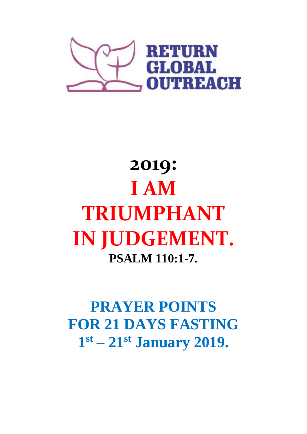

# **2019: I AM TRIUMPHANT IN JUDGEMENT. PSALM 110:1-7.**

**PRAYER POINTS FOR 21 DAYS FASTING 1 st – 21st January 2019.**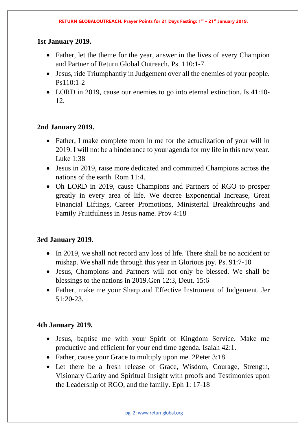## **1st January 2019.**

- Father, let the theme for the year, answer in the lives of every Champion and Partner of Return Global Outreach. Ps. 110:1-7.
- Jesus, ride Triumphantly in Judgement over all the enemies of your people. Ps110:1-2
- LORD in 2019, cause our enemies to go into eternal extinction. Is 41:10-12.

## **2nd January 2019.**

- Father, I make complete room in me for the actualization of your will in 2019. I will not be a hinderance to your agenda for my life in this new year. Luke 1:38
- Jesus in 2019, raise more dedicated and committed Champions across the nations of the earth. Rom 11:4.
- Oh LORD in 2019, cause Champions and Partners of RGO to prosper greatly in every area of life. We decree Exponential Increase, Great Financial Liftings, Career Promotions, Ministerial Breakthroughs and Family Fruitfulness in Jesus name. Prov 4:18

#### **3rd January 2019.**

- In 2019, we shall not record any loss of life. There shall be no accident or mishap. We shall ride through this year in Glorious joy. Ps. 91:7-10
- Jesus, Champions and Partners will not only be blessed. We shall be blessings to the nations in 2019.Gen 12:3, Deut. 15:6
- Father, make me your Sharp and Effective Instrument of Judgement. Jer 51:20-23.

- Jesus, baptise me with your Spirit of Kingdom Service. Make me productive and efficient for your end time agenda. Isaiah 42:1.
- Father, cause your Grace to multiply upon me. 2Peter 3:18
- Let there be a fresh release of Grace, Wisdom, Courage, Strength, Visionary Clarity and Spiritual Insight with proofs and Testimonies upon the Leadership of RGO, and the family. Eph 1: 17-18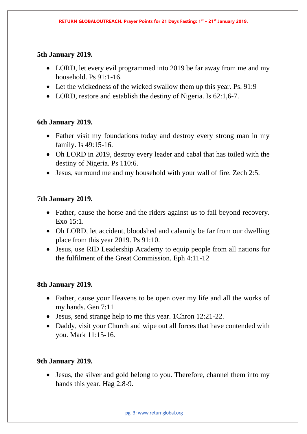#### **5th January 2019.**

- LORD, let every evil programmed into 2019 be far away from me and my household. Ps 91:1-16.
- Let the wickedness of the wicked swallow them up this year. Ps. 91:9
- LORD, restore and establish the destiny of Nigeria. Is 62:1,6-7.

## **6th January 2019.**

- Father visit my foundations today and destroy every strong man in my family. Is 49:15-16.
- Oh LORD in 2019, destroy every leader and cabal that has toiled with the destiny of Nigeria. Ps 110:6.
- Jesus, surround me and my household with your wall of fire. Zech 2:5.

## **7th January 2019.**

- Father, cause the horse and the riders against us to fail beyond recovery. Exo 15:1.
- Oh LORD, let accident, bloodshed and calamity be far from our dwelling place from this year 2019. Ps 91:10.
- Jesus, use RID Leadership Academy to equip people from all nations for the fulfilment of the Great Commission. Eph 4:11-12

#### **8th January 2019.**

- Father, cause your Heavens to be open over my life and all the works of my hands. Gen 7:11
- Jesus, send strange help to me this year. 1 Chron 12:21-22.
- Daddy, visit your Church and wipe out all forces that have contended with you. Mark 11:15-16.

#### **9th January 2019.**

• Jesus, the silver and gold belong to you. Therefore, channel them into my hands this year. Hag 2:8-9.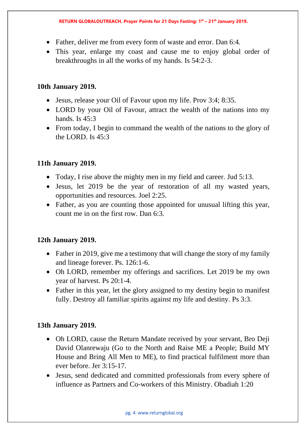- Father, deliver me from every form of waste and error. Dan 6:4.
- This year, enlarge my coast and cause me to enjoy global order of breakthroughs in all the works of my hands. Is 54:2-3.

## **10th January 2019.**

- Jesus, release your Oil of Favour upon my life. Prov 3:4; 8:35.
- LORD by your Oil of Favour, attract the wealth of the nations into my hands. Is 45:3
- From today, I begin to command the wealth of the nations to the glory of the LORD. Is 45:3

# **11th January 2019.**

- Today, I rise above the mighty men in my field and career. Jud 5:13.
- Jesus, let 2019 be the year of restoration of all my wasted years, opportunities and resources. Joel 2:25.
- Father, as you are counting those appointed for unusual lifting this year, count me in on the first row. Dan 6:3.

# **12th January 2019.**

- Father in 2019, give me a testimony that will change the story of my family and lineage forever. Ps. 126:1-6.
- Oh LORD, remember my offerings and sacrifices. Let 2019 be my own year of harvest. Ps 20:1-4.
- Father in this year, let the glory assigned to my destiny begin to manifest fully. Destroy all familiar spirits against my life and destiny. Ps 3:3.

- Oh LORD, cause the Return Mandate received by your servant, Bro Deji David Olanrewaju (Go to the North and Raise ME a People; Build MY House and Bring All Men to ME), to find practical fulfilment more than ever before. Jer 3:15-17.
- Jesus, send dedicated and committed professionals from every sphere of influence as Partners and Co-workers of this Ministry. Obadiah 1:20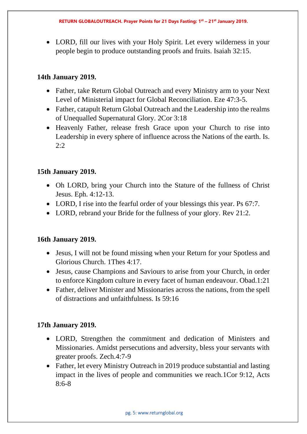• LORD, fill our lives with your Holy Spirit. Let every wilderness in your people begin to produce outstanding proofs and fruits. Isaiah 32:15.

# **14th January 2019.**

- Father, take Return Global Outreach and every Ministry arm to your Next Level of Ministerial impact for Global Reconciliation. Eze 47:3-5.
- Father, catapult Return Global Outreach and the Leadership into the realms of Unequalled Supernatural Glory. 2Cor 3:18
- Heavenly Father, release fresh Grace upon your Church to rise into Leadership in every sphere of influence across the Nations of the earth. Is. 2:2

# **15th January 2019.**

- Oh LORD, bring your Church into the Stature of the fullness of Christ Jesus. Eph. 4:12-13.
- LORD, I rise into the fearful order of your blessings this year. Ps 67:7.
- LORD, rebrand your Bride for the fullness of your glory. Rev 21:2.

# **16th January 2019.**

- Jesus, I will not be found missing when your Return for your Spotless and Glorious Church. 1Thes 4:17.
- Jesus, cause Champions and Saviours to arise from your Church, in order to enforce Kingdom culture in every facet of human endeavour. Obad.1:21
- Father, deliver Minister and Missionaries across the nations, from the spell of distractions and unfaithfulness. Is 59:16

- LORD, Strengthen the commitment and dedication of Ministers and Missionaries. Amidst persecutions and adversity, bless your servants with greater proofs. Zech.4:7-9
- Father, let every Ministry Outreach in 2019 produce substantial and lasting impact in the lives of people and communities we reach.1Cor 9:12, Acts  $8.6 - 8$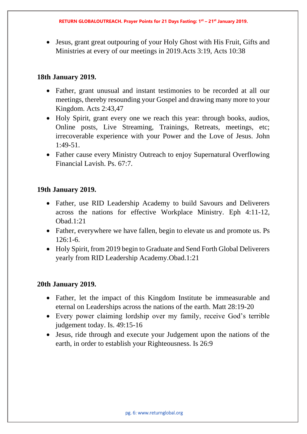• Jesus, grant great outpouring of your Holy Ghost with His Fruit, Gifts and Ministries at every of our meetings in 2019.Acts 3:19, Acts 10:38

## **18th January 2019.**

- Father, grant unusual and instant testimonies to be recorded at all our meetings, thereby resounding your Gospel and drawing many more to your Kingdom. Acts 2:43,47
- Holy Spirit, grant every one we reach this year: through books, audios, Online posts, Live Streaming, Trainings, Retreats, meetings, etc; irrecoverable experience with your Power and the Love of Jesus. John 1:49-51.
- Father cause every Ministry Outreach to enjoy Supernatural Overflowing Financial Lavish. Ps. 67:7.

## **19th January 2019.**

- Father, use RID Leadership Academy to build Savours and Deliverers across the nations for effective Workplace Ministry. Eph 4:11-12,  $Ohad 1:21$
- Father, everywhere we have fallen, begin to elevate us and promote us. Ps 126:1-6.
- Holy Spirit, from 2019 begin to Graduate and Send Forth Global Deliverers yearly from RID Leadership Academy.Obad.1:21

- Father, let the impact of this Kingdom Institute be immeasurable and eternal on Leaderships across the nations of the earth. Matt 28:19-20
- Every power claiming lordship over my family, receive God's terrible judgement today. Is. 49:15-16
- Jesus, ride through and execute your Judgement upon the nations of the earth, in order to establish your Righteousness. Is 26:9